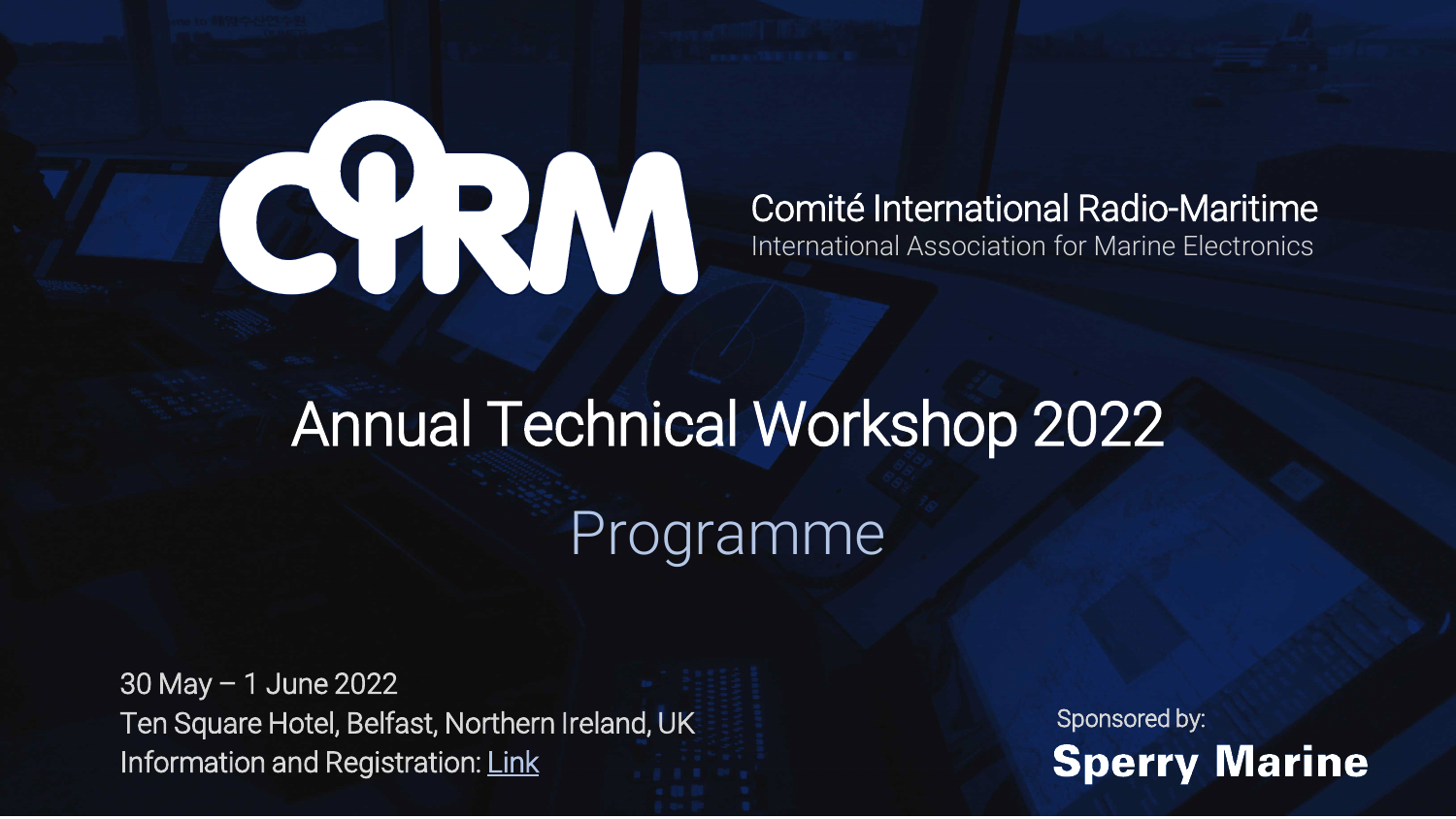## CHW

## Comité International Radio-Maritime International Association for Marine Electronics

## Annual Technical Workshop 2022 Programme

30 May – 1 June 2022 Ten Square Hotel, Belfast, Northern Ireland, UK Information and Registration: [Link](https://cirm.org/meetings/technical-workshop-2022.html)

Sponsored by:**Sperry Marine**